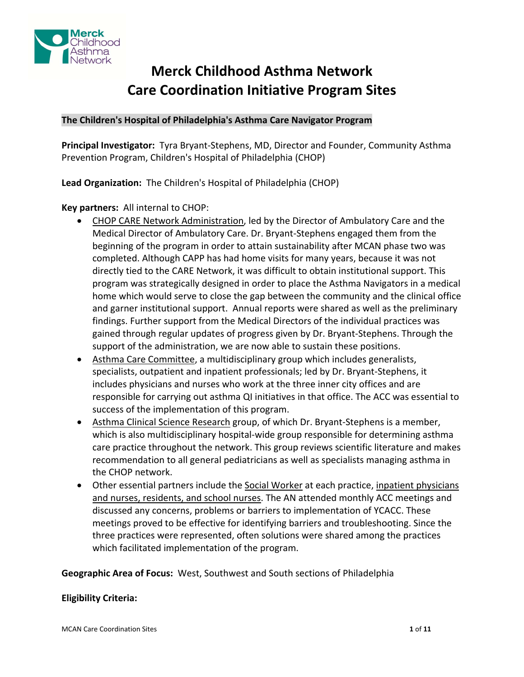

# **Merck Childhood Asthma Network Care Coordination Initiative Program Sites**

# **The Children's Hospital of Philadelphia's Asthma Care Navigator Program**

**Principal Investigator:** Tyra Bryant‐Stephens, MD, Director and Founder, Community Asthma Prevention Program, Children's Hospital of Philadelphia (CHOP)

**Lead Organization:** The Children's Hospital of Philadelphia (CHOP)

**Key partners:** All internal to CHOP:

- CHOP CARE Network Administration, led by the Director of Ambulatory Care and the Medical Director of Ambulatory Care. Dr. Bryant‐Stephens engaged them from the beginning of the program in order to attain sustainability after MCAN phase two was completed. Although CAPP has had home visits for many years, because it was not directly tied to the CARE Network, it was difficult to obtain institutional support. This program was strategically designed in order to place the Asthma Navigators in a medical home which would serve to close the gap between the community and the clinical office and garner institutional support. Annual reports were shared as well as the preliminary findings. Further support from the Medical Directors of the individual practices was gained through regular updates of progress given by Dr. Bryant‐Stephens. Through the support of the administration, we are now able to sustain these positions.
- Asthma Care Committee, a multidisciplinary group which includes generalists, specialists, outpatient and inpatient professionals; led by Dr. Bryant‐Stephens, it includes physicians and nurses who work at the three inner city offices and are responsible for carrying out asthma QI initiatives in that office. The ACC was essential to success of the implementation of this program.
- Asthma Clinical Science Research group, of which Dr. Bryant-Stephens is a member, which is also multidisciplinary hospital-wide group responsible for determining asthma care practice throughout the network. This group reviews scientific literature and makes recommendation to all general pediatricians as well as specialists managing asthma in the CHOP network.
- Other essential partners include the Social Worker at each practice, inpatient physicians and nurses, residents, and school nurses. The AN attended monthly ACC meetings and discussed any concerns, problems or barriers to implementation of YCACC. These meetings proved to be effective for identifying barriers and troubleshooting. Since the three practices were represented, often solutions were shared among the practices which facilitated implementation of the program.

**Geographic Area of Focus:** West, Southwest and South sections of Philadelphia

# **Eligibility Criteria:**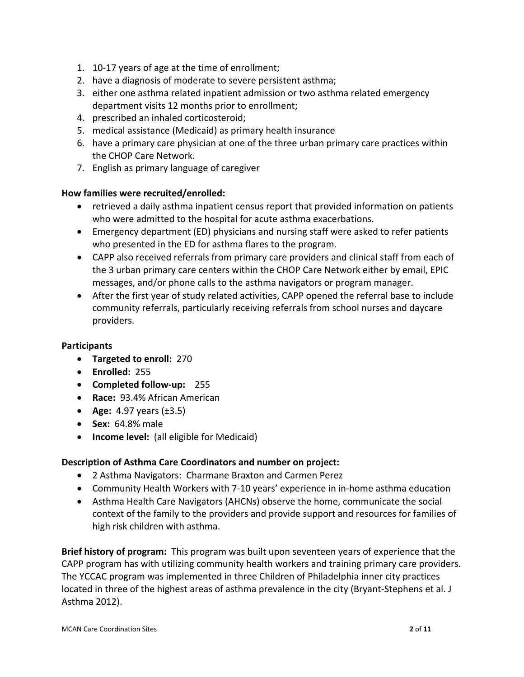- 1. 10‐17 years of age at the time of enrollment;
- 2. have a diagnosis of moderate to severe persistent asthma;
- 3. either one asthma related inpatient admission or two asthma related emergency department visits 12 months prior to enrollment;
- 4. prescribed an inhaled corticosteroid;
- 5. medical assistance (Medicaid) as primary health insurance
- 6. have a primary care physician at one of the three urban primary care practices within the CHOP Care Network.
- 7. English as primary language of caregiver

# **How families were recruited/enrolled:**

- retrieved a daily asthma inpatient census report that provided information on patients who were admitted to the hospital for acute asthma exacerbations.
- Emergency department (ED) physicians and nursing staff were asked to refer patients who presented in the ED for asthma flares to the program.
- CAPP also received referrals from primary care providers and clinical staff from each of the 3 urban primary care centers within the CHOP Care Network either by email, EPIC messages, and/or phone calls to the asthma navigators or program manager.
- After the first year of study related activities, CAPP opened the referral base to include community referrals, particularly receiving referrals from school nurses and daycare providers.

# **Participants**

- **Targeted to enroll:** 270
- **Enrolled:** 255
- **Completed follow‐up:** 255
- **Race: 93.4% African American**
- **Age:** 4.97 years (±3.5)
- **Sex:** 64.8% male
- **Income level:** (all eligible for Medicaid)

# **Description of Asthma Care Coordinators and number on project:**

- 2 Asthma Navigators: Charmane Braxton and Carmen Perez
- Community Health Workers with 7‐10 years' experience in in‐home asthma education
- Asthma Health Care Navigators (AHCNs) observe the home, communicate the social context of the family to the providers and provide support and resources for families of high risk children with asthma.

**Brief history of program:** This program was built upon seventeen years of experience that the CAPP program has with utilizing community health workers and training primary care providers. The YCCAC program was implemented in three Children of Philadelphia inner city practices located in three of the highest areas of asthma prevalence in the city (Bryant‐Stephens et al. J Asthma 2012).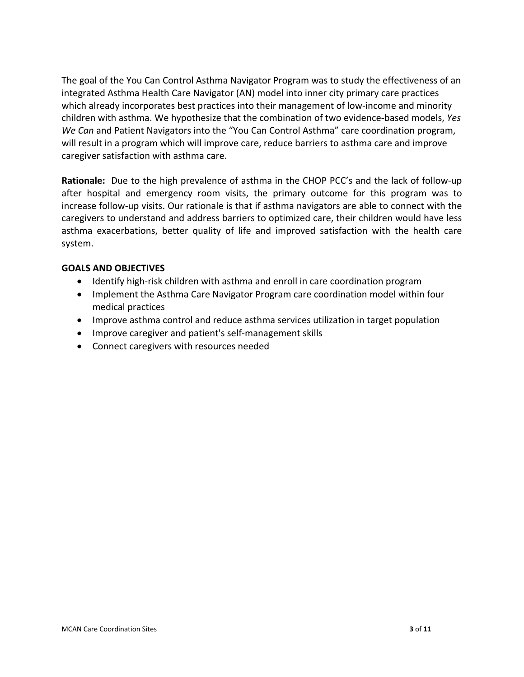The goal of the You Can Control Asthma Navigator Program was to study the effectiveness of an integrated Asthma Health Care Navigator (AN) model into inner city primary care practices which already incorporates best practices into their management of low-income and minority children with asthma. We hypothesize that the combination of two evidence‐based models, *Yes We Can* and Patient Navigators into the "You Can Control Asthma" care coordination program, will result in a program which will improve care, reduce barriers to asthma care and improve caregiver satisfaction with asthma care.

**Rationale:** Due to the high prevalence of asthma in the CHOP PCC's and the lack of follow-up after hospital and emergency room visits, the primary outcome for this program was to increase follow‐up visits. Our rationale is that if asthma navigators are able to connect with the caregivers to understand and address barriers to optimized care, their children would have less asthma exacerbations, better quality of life and improved satisfaction with the health care system.

# **GOALS AND OBJECTIVES**

- Identify high-risk children with asthma and enroll in care coordination program
- Implement the Asthma Care Navigator Program care coordination model within four medical practices
- Improve asthma control and reduce asthma services utilization in target population
- Improve caregiver and patient's self-management skills
- Connect caregivers with resources needed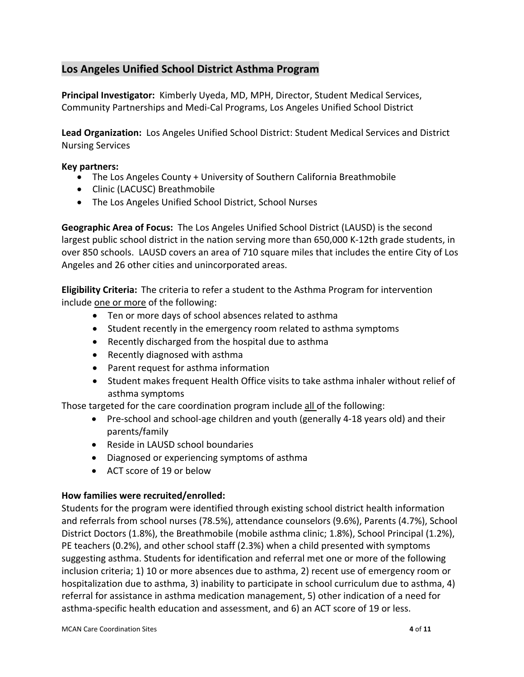# **Los Angeles Unified School District Asthma Program**

**Principal Investigator:** Kimberly Uyeda, MD, MPH, Director, Student Medical Services, Community Partnerships and Medi‐Cal Programs, Los Angeles Unified School District

**Lead Organization:** Los Angeles Unified School District: Student Medical Services and District Nursing Services

# **Key partners:**

- The Los Angeles County + University of Southern California Breathmobile
- Clinic (LACUSC) Breathmobile
- The Los Angeles Unified School District, School Nurses

**Geographic Area of Focus:** The Los Angeles Unified School District (LAUSD) is the second largest public school district in the nation serving more than 650,000 K‐12th grade students, in over 850 schools. LAUSD covers an area of 710 square miles that includes the entire City of Los Angeles and 26 other cities and unincorporated areas.

**Eligibility Criteria:** The criteria to refer a student to the Asthma Program for intervention include one or more of the following:

- Ten or more days of school absences related to asthma
- Student recently in the emergency room related to asthma symptoms
- Recently discharged from the hospital due to asthma
- Recently diagnosed with asthma
- Parent request for asthma information
- Student makes frequent Health Office visits to take asthma inhaler without relief of asthma symptoms

Those targeted for the care coordination program include all of the following:

- Pre-school and school-age children and youth (generally 4-18 years old) and their parents/family
- Reside in LAUSD school boundaries
- Diagnosed or experiencing symptoms of asthma
- ACT score of 19 or below

# **How families were recruited/enrolled:**

Students for the program were identified through existing school district health information and referrals from school nurses (78.5%), attendance counselors (9.6%), Parents (4.7%), School District Doctors (1.8%), the Breathmobile (mobile asthma clinic; 1.8%), School Principal (1.2%), PE teachers (0.2%), and other school staff (2.3%) when a child presented with symptoms suggesting asthma. Students for identification and referral met one or more of the following inclusion criteria; 1) 10 or more absences due to asthma, 2) recent use of emergency room or hospitalization due to asthma, 3) inability to participate in school curriculum due to asthma, 4) referral for assistance in asthma medication management, 5) other indication of a need for asthma‐specific health education and assessment, and 6) an ACT score of 19 or less.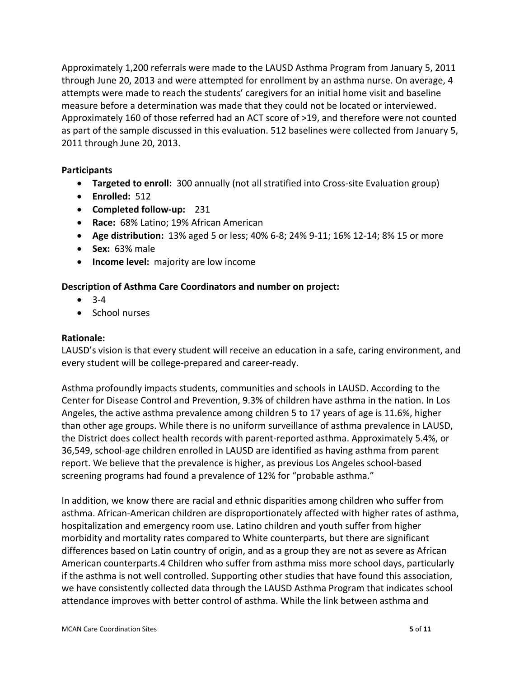Approximately 1,200 referrals were made to the LAUSD Asthma Program from January 5, 2011 through June 20, 2013 and were attempted for enrollment by an asthma nurse. On average, 4 attempts were made to reach the students' caregivers for an initial home visit and baseline measure before a determination was made that they could not be located or interviewed. Approximately 160 of those referred had an ACT score of >19, and therefore were not counted as part of the sample discussed in this evaluation. 512 baselines were collected from January 5, 2011 through June 20, 2013.

# **Participants**

- **Targeted to enroll:** 300 annually (not all stratified into Cross‐site Evaluation group)
- **Enrolled:** 512
- **Completed follow‐up:** 231
- **Race:** 68% Latino; 19% African American
- **Age distribution:** 13% aged 5 or less; 40% 6‐8; 24% 9‐11; 16% 12‐14; 8% 15 or more
- **Sex:** 63% male
- **Income level:** majority are low income

# **Description of Asthma Care Coordinators and number on project:**

- $3-4$
- School nurses

#### **Rationale:**

LAUSD's vision is that every student will receive an education in a safe, caring environment, and every student will be college‐prepared and career‐ready.

Asthma profoundly impacts students, communities and schools in LAUSD. According to the Center for Disease Control and Prevention, 9.3% of children have asthma in the nation. In Los Angeles, the active asthma prevalence among children 5 to 17 years of age is 11.6%, higher than other age groups. While there is no uniform surveillance of asthma prevalence in LAUSD, the District does collect health records with parent‐reported asthma. Approximately 5.4%, or 36,549, school‐age children enrolled in LAUSD are identified as having asthma from parent report. We believe that the prevalence is higher, as previous Los Angeles school‐based screening programs had found a prevalence of 12% for "probable asthma."

In addition, we know there are racial and ethnic disparities among children who suffer from asthma. African‐American children are disproportionately affected with higher rates of asthma, hospitalization and emergency room use. Latino children and youth suffer from higher morbidity and mortality rates compared to White counterparts, but there are significant differences based on Latin country of origin, and as a group they are not as severe as African American counterparts.4 Children who suffer from asthma miss more school days, particularly if the asthma is not well controlled. Supporting other studies that have found this association, we have consistently collected data through the LAUSD Asthma Program that indicates school attendance improves with better control of asthma. While the link between asthma and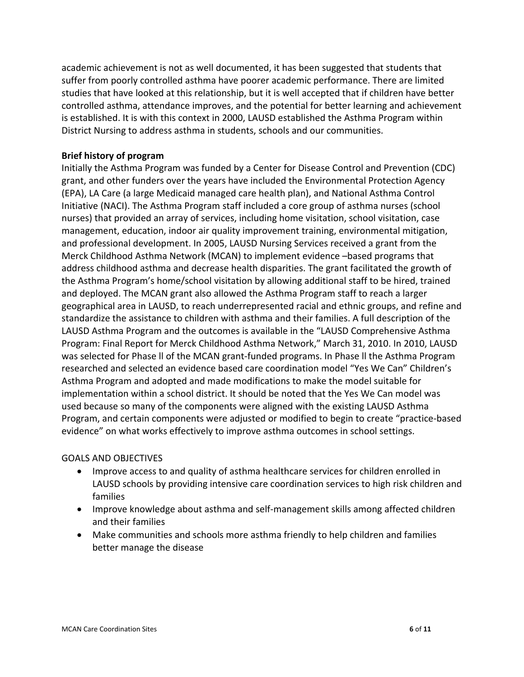academic achievement is not as well documented, it has been suggested that students that suffer from poorly controlled asthma have poorer academic performance. There are limited studies that have looked at this relationship, but it is well accepted that if children have better controlled asthma, attendance improves, and the potential for better learning and achievement is established. It is with this context in 2000, LAUSD established the Asthma Program within District Nursing to address asthma in students, schools and our communities.

# **Brief history of program**

Initially the Asthma Program was funded by a Center for Disease Control and Prevention (CDC) grant, and other funders over the years have included the Environmental Protection Agency (EPA), LA Care (a large Medicaid managed care health plan), and National Asthma Control Initiative (NACI). The Asthma Program staff included a core group of asthma nurses (school nurses) that provided an array of services, including home visitation, school visitation, case management, education, indoor air quality improvement training, environmental mitigation, and professional development. In 2005, LAUSD Nursing Services received a grant from the Merck Childhood Asthma Network (MCAN) to implement evidence –based programs that address childhood asthma and decrease health disparities. The grant facilitated the growth of the Asthma Program's home/school visitation by allowing additional staff to be hired, trained and deployed. The MCAN grant also allowed the Asthma Program staff to reach a larger geographical area in LAUSD, to reach underrepresented racial and ethnic groups, and refine and standardize the assistance to children with asthma and their families. A full description of the LAUSD Asthma Program and the outcomes is available in the "LAUSD Comprehensive Asthma Program: Final Report for Merck Childhood Asthma Network," March 31, 2010. In 2010, LAUSD was selected for Phase II of the MCAN grant-funded programs. In Phase II the Asthma Program researched and selected an evidence based care coordination model "Yes We Can" Children's Asthma Program and adopted and made modifications to make the model suitable for implementation within a school district. It should be noted that the Yes We Can model was used because so many of the components were aligned with the existing LAUSD Asthma Program, and certain components were adjusted or modified to begin to create "practice‐based evidence" on what works effectively to improve asthma outcomes in school settings.

# GOALS AND OBJECTIVES

- Improve access to and quality of asthma healthcare services for children enrolled in LAUSD schools by providing intensive care coordination services to high risk children and families
- Improve knowledge about asthma and self-management skills among affected children and their families
- Make communities and schools more asthma friendly to help children and families better manage the disease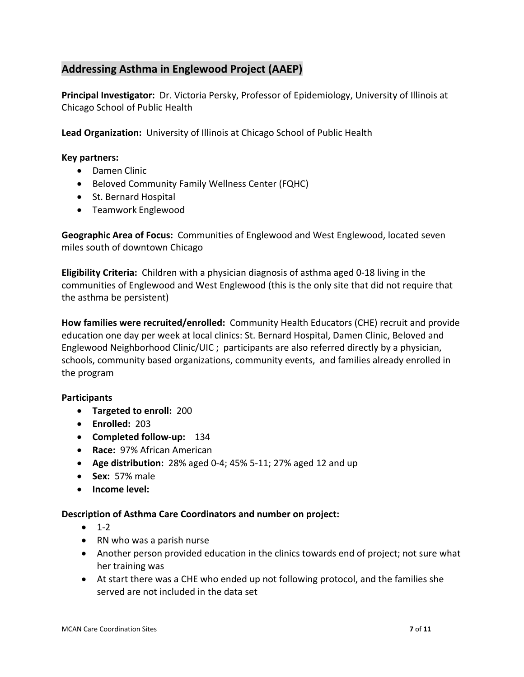# **Addressing Asthma in Englewood Project (AAEP)**

**Principal Investigator:** Dr. Victoria Persky, Professor of Epidemiology, University of Illinois at Chicago School of Public Health

**Lead Organization:** University of Illinois at Chicago School of Public Health

#### **Key partners:**

- Damen Clinic
- Beloved Community Family Wellness Center (FQHC)
- St. Bernard Hospital
- Teamwork Englewood

**Geographic Area of Focus:** Communities of Englewood and West Englewood, located seven miles south of downtown Chicago

**Eligibility Criteria:** Children with a physician diagnosis of asthma aged 0‐18 living in the communities of Englewood and West Englewood (this is the only site that did not require that the asthma be persistent)

**How families were recruited/enrolled:** Community Health Educators (CHE) recruit and provide education one day per week at local clinics: St. Bernard Hospital, Damen Clinic, Beloved and Englewood Neighborhood Clinic/UIC ; participants are also referred directly by a physician, schools, community based organizations, community events, and families already enrolled in the program

# **Participants**

- **Targeted to enroll:** 200
- **Enrolled:** 203
- **Completed follow‐up:** 134
- **Race:** 97% African American
- **Age distribution:** 28% aged 0‐4; 45% 5‐11; 27% aged 12 and up
- **Sex:** 57% male
- **Income level:**

# **Description of Asthma Care Coordinators and number on project:**

- $1-2$
- RN who was a parish nurse
- Another person provided education in the clinics towards end of project; not sure what her training was
- At start there was a CHE who ended up not following protocol, and the families she served are not included in the data set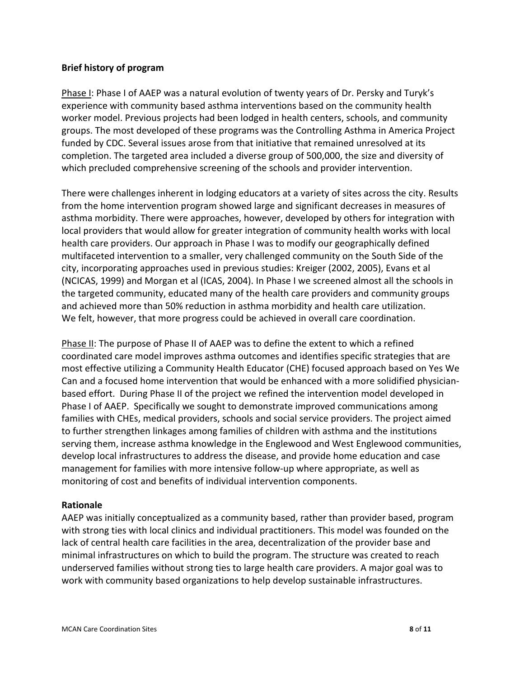# **Brief history of program**

Phase I: Phase I of AAEP was a natural evolution of twenty years of Dr. Persky and Turyk's experience with community based asthma interventions based on the community health worker model. Previous projects had been lodged in health centers, schools, and community groups. The most developed of these programs was the Controlling Asthma in America Project funded by CDC. Several issues arose from that initiative that remained unresolved at its completion. The targeted area included a diverse group of 500,000, the size and diversity of which precluded comprehensive screening of the schools and provider intervention.

There were challenges inherent in lodging educators at a variety of sites across the city. Results from the home intervention program showed large and significant decreases in measures of asthma morbidity. There were approaches, however, developed by others for integration with local providers that would allow for greater integration of community health works with local health care providers. Our approach in Phase I was to modify our geographically defined multifaceted intervention to a smaller, very challenged community on the South Side of the city, incorporating approaches used in previous studies: Kreiger (2002, 2005), Evans et al (NCICAS, 1999) and Morgan et al (ICAS, 2004). In Phase I we screened almost all the schools in the targeted community, educated many of the health care providers and community groups and achieved more than 50% reduction in asthma morbidity and health care utilization. We felt, however, that more progress could be achieved in overall care coordination.

Phase II: The purpose of Phase II of AAEP was to define the extent to which a refined coordinated care model improves asthma outcomes and identifies specific strategies that are most effective utilizing a Community Health Educator (CHE) focused approach based on Yes We Can and a focused home intervention that would be enhanced with a more solidified physician‐ based effort. During Phase II of the project we refined the intervention model developed in Phase I of AAEP. Specifically we sought to demonstrate improved communications among families with CHEs, medical providers, schools and social service providers. The project aimed to further strengthen linkages among families of children with asthma and the institutions serving them, increase asthma knowledge in the Englewood and West Englewood communities, develop local infrastructures to address the disease, and provide home education and case management for families with more intensive follow‐up where appropriate, as well as monitoring of cost and benefits of individual intervention components.

# **Rationale**

AAEP was initially conceptualized as a community based, rather than provider based, program with strong ties with local clinics and individual practitioners. This model was founded on the lack of central health care facilities in the area, decentralization of the provider base and minimal infrastructures on which to build the program. The structure was created to reach underserved families without strong ties to large health care providers. A major goal was to work with community based organizations to help develop sustainable infrastructures.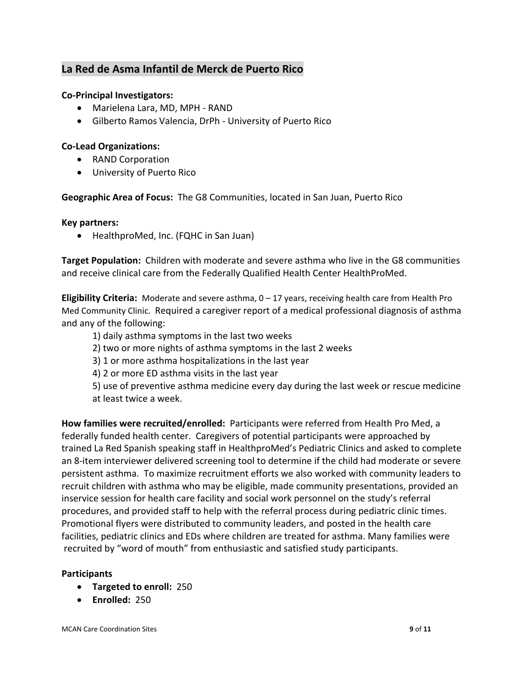# **La Red de Asma Infantil de Merck de Puerto Rico**

# **Co‐Principal Investigators:**

- Marielena Lara, MD, MPH ‐ RAND
- Gilberto Ramos Valencia, DrPh University of Puerto Rico

# **Co‐Lead Organizations:**

- RAND Corporation
- University of Puerto Rico

**Geographic Area of Focus:** The G8 Communities, located in San Juan, Puerto Rico

# **Key partners:**

• HealthproMed, Inc. (FQHC in San Juan)

**Target Population:** Children with moderate and severe asthma who live in the G8 communities and receive clinical care from the Federally Qualified Health Center HealthProMed.

**Eligibility Criteria:** Moderate and severe asthma, 0 – 17 years, receiving health care from Health Pro Med Community Clinic. Required a caregiver report of a medical professional diagnosis of asthma and any of the following:

- 1) daily asthma symptoms in the last two weeks
- 2) two or more nights of asthma symptoms in the last 2 weeks
- 3) 1 or more asthma hospitalizations in the last year
- 4) 2 or more ED asthma visits in the last year
- 5) use of preventive asthma medicine every day during the last week or rescue medicine at least twice a week.

**How families were recruited/enrolled:** Participants were referred from Health Pro Med, a federally funded health center. Caregivers of potential participants were approached by trained La Red Spanish speaking staff in HealthproMed's Pediatric Clinics and asked to complete an 8‐item interviewer delivered screening tool to determine if the child had moderate or severe persistent asthma. To maximize recruitment efforts we also worked with community leaders to recruit children with asthma who may be eligible, made community presentations, provided an inservice session for health care facility and social work personnel on the study's referral procedures, and provided staff to help with the referral process during pediatric clinic times. Promotional flyers were distributed to community leaders, and posted in the health care facilities, pediatric clinics and EDs where children are treated for asthma. Many families were recruited by "word of mouth" from enthusiastic and satisfied study participants.

# **Participants**

- **Targeted to enroll:** 250
- **Enrolled:** 250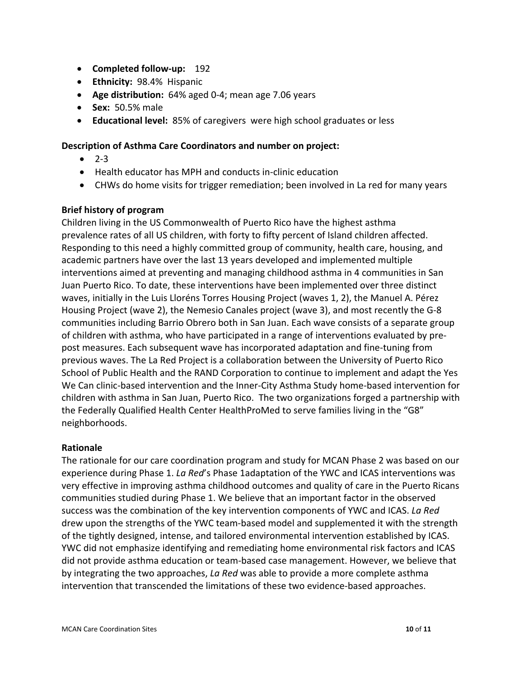- **Completed follow‐up:** 192
- **Ethnicity:** 98.4% Hispanic
- **Age distribution:** 64% aged 0‐4; mean age 7.06 years
- **Sex:** 50.5% male
- **Educational level:** 85% of caregivers were high school graduates or less

# **Description of Asthma Care Coordinators and number on project:**

- $-2-3$
- Health educator has MPH and conducts in-clinic education
- CHWs do home visits for trigger remediation; been involved in La red for many years

# **Brief history of program**

Children living in the US Commonwealth of Puerto Rico have the highest asthma prevalence rates of all US children, with forty to fifty percent of Island children affected. Responding to this need a highly committed group of community, health care, housing, and academic partners have over the last 13 years developed and implemented multiple interventions aimed at preventing and managing childhood asthma in 4 communities in San Juan Puerto Rico. To date, these interventions have been implemented over three distinct waves, initially in the Luis Lloréns Torres Housing Project (waves 1, 2), the Manuel A. Pérez Housing Project (wave 2), the Nemesio Canales project (wave 3), and most recently the G‐8 communities including Barrio Obrero both in San Juan. Each wave consists of a separate group of children with asthma, who have participated in a range of interventions evaluated by pre‐ post measures. Each subsequent wave has incorporated adaptation and fine‐tuning from previous waves. The La Red Project is a collaboration between the University of Puerto Rico School of Public Health and the RAND Corporation to continue to implement and adapt the Yes We Can clinic-based intervention and the Inner-City Asthma Study home-based intervention for children with asthma in San Juan, Puerto Rico. The two organizations forged a partnership with the Federally Qualified Health Center HealthProMed to serve families living in the "G8" neighborhoods.

# **Rationale**

The rationale for our care coordination program and study for MCAN Phase 2 was based on our experience during Phase 1. *La Red*'s Phase 1adaptation of the YWC and ICAS interventions was very effective in improving asthma childhood outcomes and quality of care in the Puerto Ricans communities studied during Phase 1. We believe that an important factor in the observed success was the combination of the key intervention components of YWC and ICAS. *La Red* drew upon the strengths of the YWC team‐based model and supplemented it with the strength of the tightly designed, intense, and tailored environmental intervention established by ICAS. YWC did not emphasize identifying and remediating home environmental risk factors and ICAS did not provide asthma education or team-based case management. However, we believe that by integrating the two approaches, *La Red* was able to provide a more complete asthma intervention that transcended the limitations of these two evidence‐based approaches.